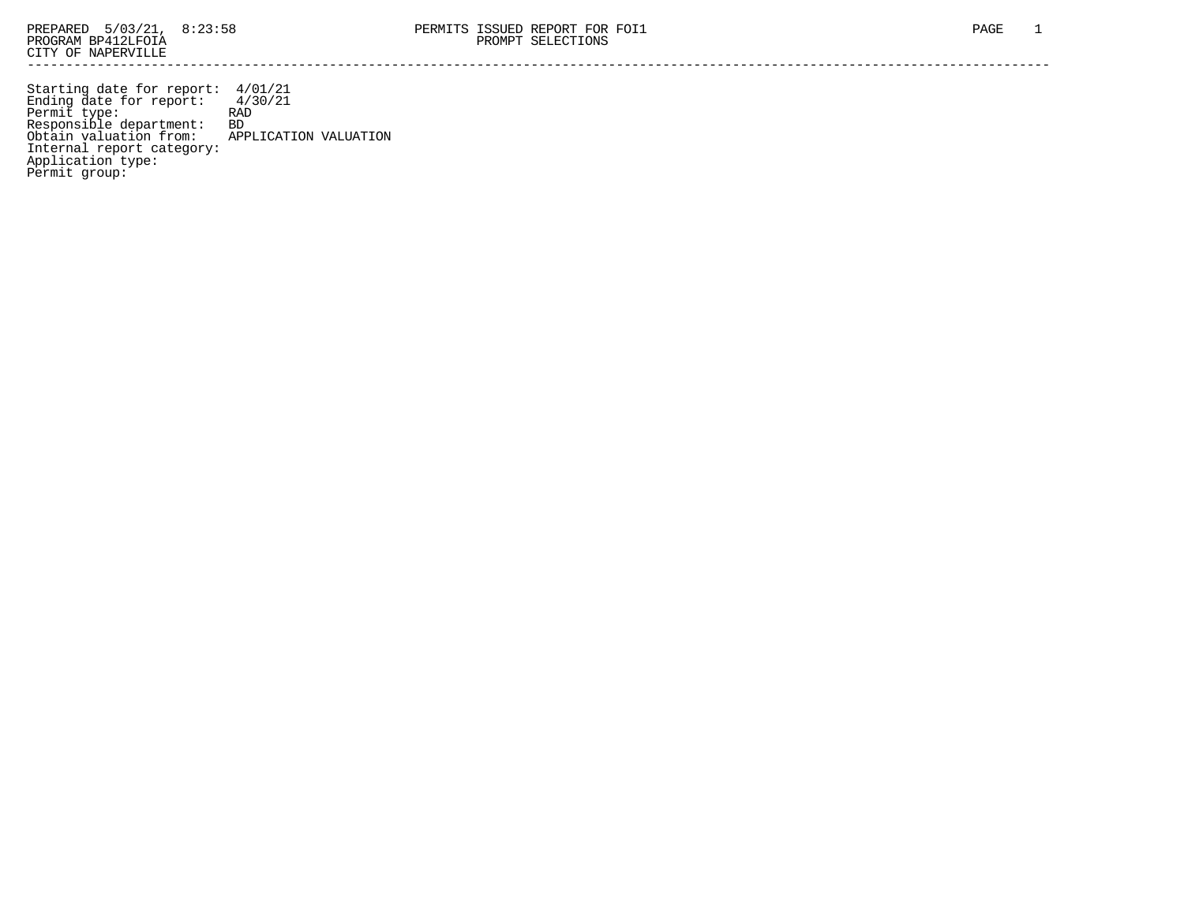Starting date for report: 4/01/21 Ending date for report: 4/30/21 Permit type: RAD Responsible department: BD Obtain valuation from: APPLICATION VALUATION Internal report category: Application type: Permit group: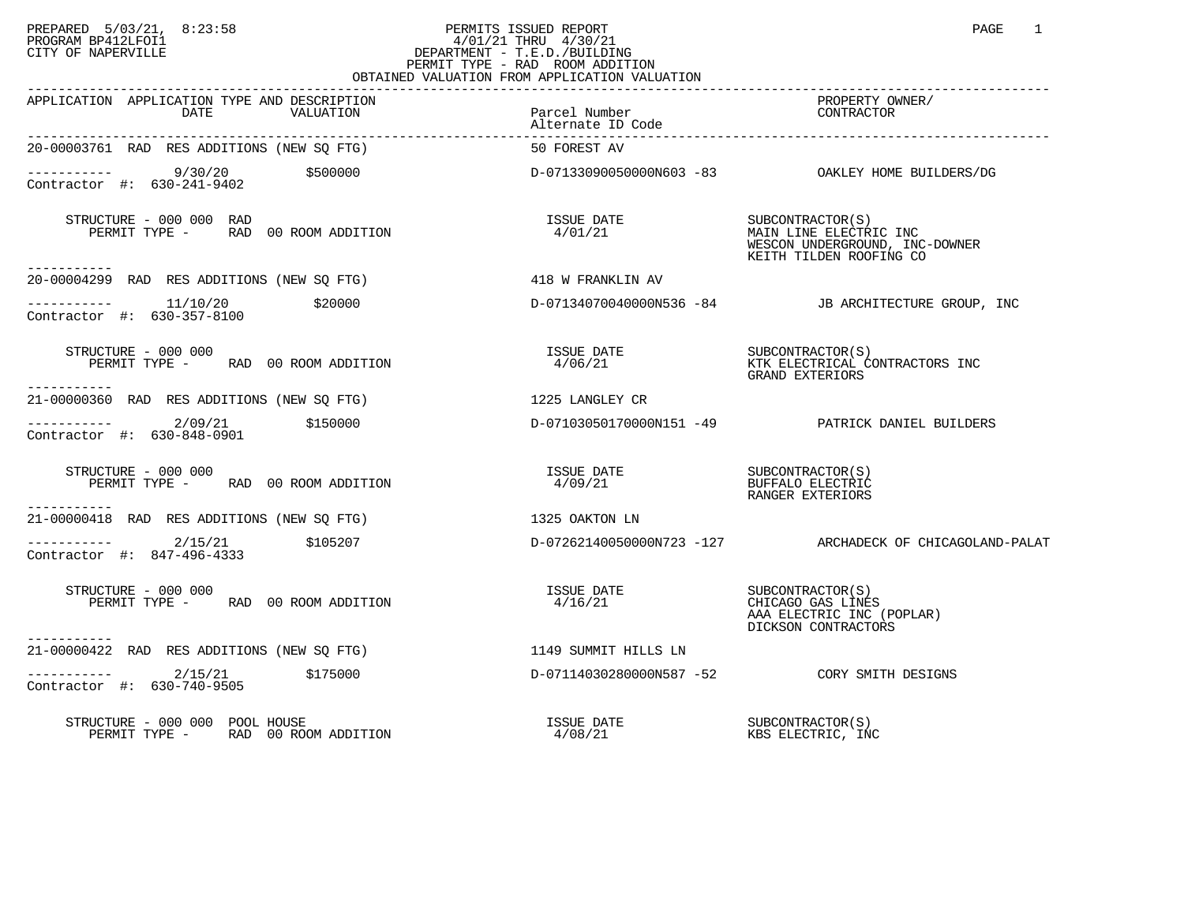## PREPARED 5/03/21, 8:23:58 PERMITS ISSUED REPORT PAGE 1 PAGE 1 PAGE 1 PROGRAM BP412LFOI1 4/01/21 THRU 4/30/21 CITY OF NAPERVILLE **Example 20** CITY OF NAPERVILLE PERMIT TYPE - RAD ROOM ADDITION OBTAINED VALUATION FROM APPLICATION VALUATION

| APPLICATION APPLICATION TYPE AND DESCRIPTION<br>DATE<br>VALUATION                               | Parcel Number<br>Alternate ID Code | PROPERTY OWNER/<br>CONTRACTOR                                                                                                                                                                    |
|-------------------------------------------------------------------------------------------------|------------------------------------|--------------------------------------------------------------------------------------------------------------------------------------------------------------------------------------------------|
| 20-00003761 RAD RES ADDITIONS (NEW SQ FTG)                                                      | 50 FOREST AV                       |                                                                                                                                                                                                  |
| $\begin{array}{cccc}\n-22222 - 242 - 242 \\ \end{array}$ (5500000<br>Contractor #: 630-241-9402 |                                    |                                                                                                                                                                                                  |
| STRUCTURE - 000 000 RAD<br>PERMIT TYPE - RAD 00 ROOM ADDITION                                   | ISSUE DATE<br>4/01/21              | SUBCONTRACTOR(S)<br>MAIN LINE ELECTRIC INC<br>WESCON UNDERGROUND, INC-DOWNER<br>KEITH TILDEN ROOFING CO                                                                                          |
| 20-00004299 RAD RES ADDITIONS (NEW SO FTG)                                                      | 418 W FRANKLIN AV                  |                                                                                                                                                                                                  |
| $---------$ 11/10/20 \$20000<br>Contractor #: 630-357-8100                                      |                                    | D-07134070040000N536 -84 JB ARCHITECTURE GROUP, INC                                                                                                                                              |
| STRUCTURE - 000 000<br>PERMIT TYPE - RAD 00 ROOM ADDITION<br>-----------                        |                                    | ${\small \begin{tabular}{lcl} \bf ISSUE & \bf DATE & \tt SUBCONTRACTOR(S) \\ \bf 4/06/21 & \tt SUR & \tt SUECTRICAL \tt CONTRACTORS \bf INC \\ \bf GRAND \bf EXTERIORS & \tt INC \end{tabular}}$ |
| 21-00000360 RAD RES ADDITIONS (NEW SO FTG)                                                      | 1225 LANGLEY CR                    |                                                                                                                                                                                                  |
| $--------- 2/09/21$ \$150000<br>Contractor #: 630-848-0901                                      |                                    | D-07103050170000N151 -49 PATRICK DANIEL BUILDERS                                                                                                                                                 |
| STRUCTURE - 000 000<br>PERMIT TYPE - RAD 00 ROOM ADDITION<br>-----------                        |                                    | RANGER EXTERIORS                                                                                                                                                                                 |
| 21-00000418 RAD RES ADDITIONS (NEW SO FTG)                                                      | 1325 OAKTON LN                     |                                                                                                                                                                                                  |
| $---------2/15/21$ \$105207<br>Contractor #: 847-496-4333                                       |                                    | D-07262140050000N723 -127 ARCHADECK OF CHICAGOLAND-PALAT                                                                                                                                         |
| STRUCTURE - 000 000<br>PERMIT TYPE - RAD 00 ROOM ADDITION                                       | ISSUE DATE<br>4/16/21              | SUBCONTRACTOR(S)<br>CHICAGO GAS LINES<br>AAA ELECTRIC INC (POPLAR)<br>DICKSON CONTRACTORS                                                                                                        |
| -----------<br>21-00000422 RAD RES ADDITIONS (NEW SQ FTG) 1149 SUMMIT HILLS LN                  |                                    |                                                                                                                                                                                                  |
| $---------2/15/21$ \$175000<br>Contractor #: 630-740-9505                                       |                                    | D-07114030280000N587 -52 CORY SMITH DESIGNS                                                                                                                                                      |
| STRUCTURE - 000 000 POOL HOUSE<br>PERMIT TYPE - RAD 00 ROOM ADDITION                            | <b>ISSUE DATE</b><br>4/08/21       | SUBCONTRACTOR(S)<br>KBS ELECTRIC, INC                                                                                                                                                            |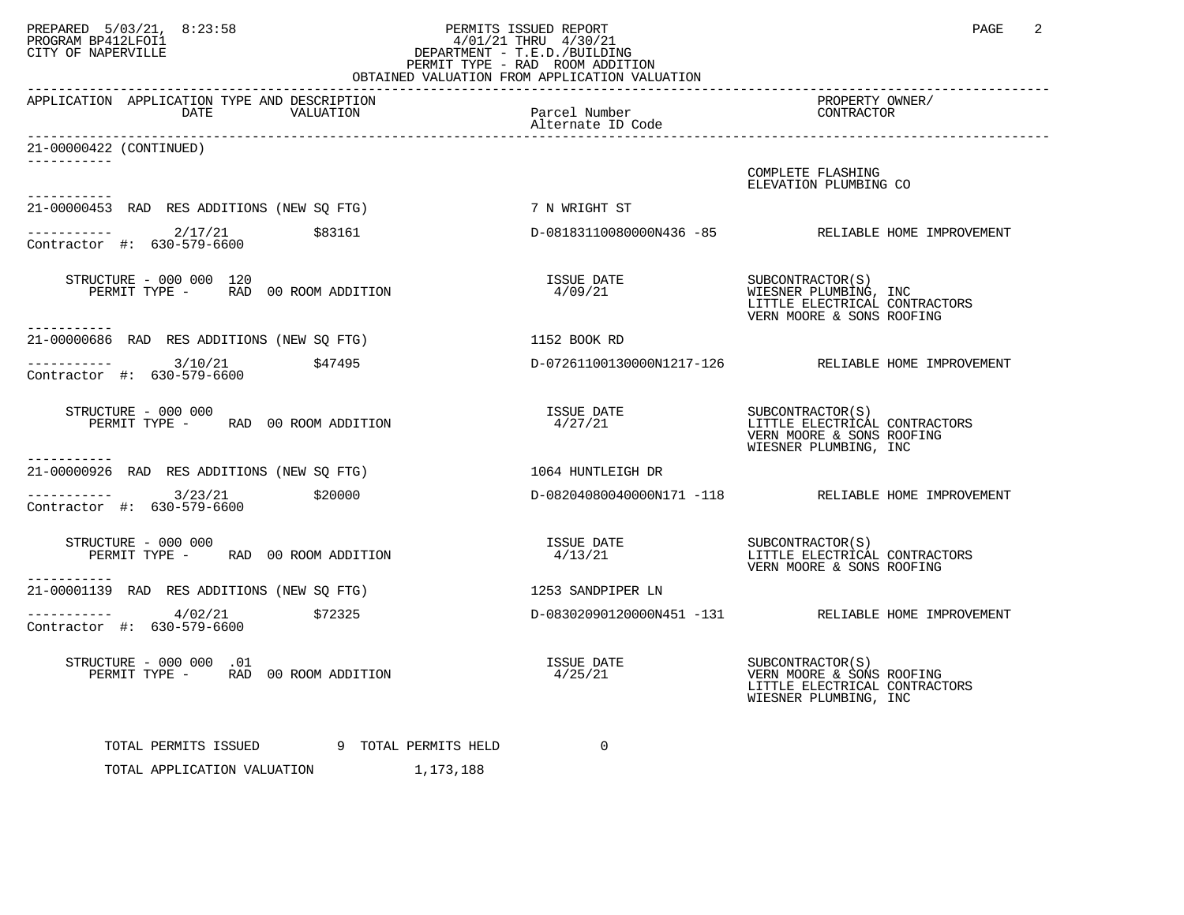## PREPARED 5/03/21, 8:23:58 PERMITS ISSUED REPORT<br>PROGRAM BP412LFOI1 PAGE 2 PROGRAM BP412LFOI1 4/01/21 THRU 4/30/21 CITY OF NAPERVILLE **Example 20** CITY OF NAPERVILLE PERMIT TYPE - RAD ROOM ADDITION OBTAINED VALUATION FROM APPLICATION VALUATION

| APPLICATION APPLICATION TYPE AND DESCRIPTION<br>DATE<br>VALUATION        | Parcel Number<br>Alternate ID Code | PROPERTY OWNER/<br>CONTRACTOR                                                                           |
|--------------------------------------------------------------------------|------------------------------------|---------------------------------------------------------------------------------------------------------|
| 21-00000422 (CONTINUED)                                                  |                                    |                                                                                                         |
| -----------                                                              |                                    | COMPLETE FLASHING<br>ELEVATION PLUMBING CO                                                              |
| 21-00000453 RAD RES ADDITIONS (NEW SQ FTG)                               | 7 N WRIGHT ST                      |                                                                                                         |
| $---------2/17/21$ \$83161<br>Contractor #: 630-579-6600                 |                                    | D-08183110080000N436 -85 RELIABLE HOME IMPROVEMENT                                                      |
| STRUCTURE - 000 000 120<br>PERMIT TYPE - RAD 00 ROOM ADDITION            | ISSUE DATE<br>4/09/21              | SUBCONTRACTOR(S)<br>WIESNER PLUMBING, INC<br>LITTLE ELECTRICAL CONTRACTORS<br>VERN MOORE & SONS ROOFING |
| -----------<br>21-00000686 RAD RES ADDITIONS (NEW SO FTG)                | 1152 BOOK RD                       |                                                                                                         |
| $--------$ 3/10/21 \$47495<br>Contractor #: $630 - 579 - 6600$           |                                    | D-07261100130000N1217-126 RELIABLE HOME IMPROVEMENT                                                     |
| STRUCTURE - 000 000<br>PERMIT TYPE - RAD 00 ROOM ADDITION                | ISSUE DATE<br>4/27/21              | SUBCONTRACTOR(S)<br>LITTLE_ELECTRICAL CONTRACTORS<br>VERN MOORE & SONS ROOFING<br>WIESNER PLUMBING, INC |
| -----------<br>21-00000926 RAD RES ADDITIONS (NEW SQ FTG)                | 1064 HUNTLEIGH DR                  |                                                                                                         |
| $---------$ 3/23/21 \$20000<br>Contractor #: 630-579-6600                |                                    | D-08204080040000N171 -118 RELIABLE HOME IMPROVEMENT                                                     |
| STRUCTURE - 000 000<br>PERMIT TYPE - RAD 00 ROOM ADDITION<br>___________ |                                    | VERN MOORE & SONS ROOFING                                                                               |
| 21-00001139 RAD RES ADDITIONS (NEW SO FTG)                               | 1253 SANDPIPER LN                  |                                                                                                         |
| $--------$ 4/02/21 \$72325<br>Contractor #: 630-579-6600                 |                                    | D-08302090120000N451 -131 RELIABLE HOME IMPROVEMENT                                                     |
| STRUCTURE - 000 000 .01<br>PERMIT TYPE - RAD 00 ROOM ADDITION            | 4/25/21                            | LITTLE ELECTRICAL CONTRACTORS<br>WIESNER PLUMBING, INC                                                  |
| TOTAL PERMITS ISSUED 9 TOTAL PERMITS HELD                                | $\mathbf{0}$                       |                                                                                                         |
| TOTAL APPLICATION VALUATION 1.173.188                                    |                                    |                                                                                                         |